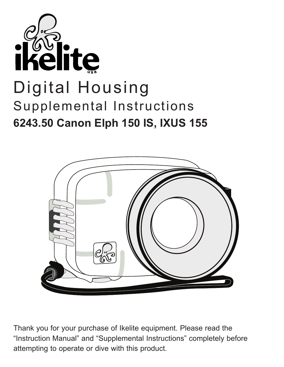



Thank you for your purchase of Ikelite equipment. Please read the "Instruction Manual" and "Supplemental Instructions" completely before attempting to operate or dive with this product.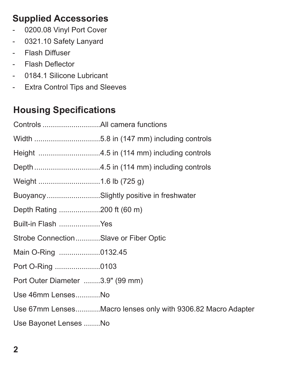## **Supplied Accessories**

- 0200.08 Vinyl Port Cover
- 0321.10 Safety Lanyard
- Flash Diffuser
- Flash Deflector
- 0184.1 Silicone Lubricant
- Extra Control Tips and Sleeves

## **Housing Specifications**

|                                       | BuoyancySlightly positive in freshwater                     |
|---------------------------------------|-------------------------------------------------------------|
| Depth Rating 200 ft (60 m)            |                                                             |
| Built-in Flash Yes                    |                                                             |
| Strobe ConnectionSlave or Fiber Optic |                                                             |
| Main O-Ring 0132.45                   |                                                             |
| Port O-Ring 0103                      |                                                             |
| Port Outer Diameter 3.9" (99 mm)      |                                                             |
| Use 46mm LensesNo                     |                                                             |
|                                       | Use 67mm LensesMacro lenses only with 9306.82 Macro Adapter |
| Use Bayonet Lenses No                 |                                                             |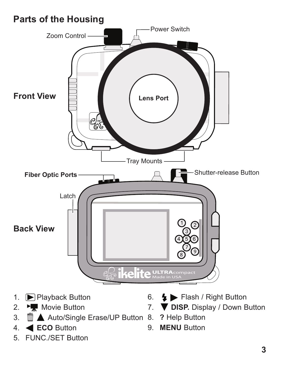# **Parts of the Housing**



- 1. Playback Button
- 2. <del>M</del>Movie Button
- 3. **III ▲** Auto/Single Erase/UP Button 8. ? Help Button
- 4. **ECO** Button
- 5. FUNC./SET Button
- 6. Flash / Right Button
- 7. **DISP.** Display / Down Button
	-
- 9. **MENU** Button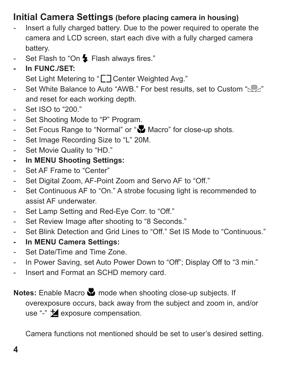### **Initial Camera Settings (before placing camera in housing)**

- Insert a fully charged battery. Due to the power required to operate the camera and LCD screen, start each dive with a fully charged camera battery.
- Set Flash to "On  $\blacktriangleright$  Flash always fires."
- **In FUNC./SET:**

Set Light Metering to "<sup>"</sup> Center Weighted Avg."

- Set White Balance to Auto "AWB." For best results, set to Custom " $\mathbb{Q}$ " and reset for each working depth.
- Set ISO to "200."
- Set Shooting Mode to "P" Program.
- Set Focus Range to "Normal" or "Normal" or " Macro" for close-up shots.
- Set Image Recording Size to "L" 20M.
- Set Movie Quality to "HD."
- **In MENU Shooting Settings:**
- Set AF Frame to "Center"
- Set Digital Zoom, AF-Point Zoom and Servo AF to "Off."
- Set Continuous AF to "On." A strobe focusing light is recommended to assist AF underwater.
- Set Lamp Setting and Red-Eye Corr. to "Off."
- Set Review Image after shooting to "8 Seconds."
- Set Blink Detection and Grid Lines to "Off." Set IS Mode to "Continuous."
- **In MENU Camera Settings:**
- Set Date/Time and Time Zone.
- In Power Saving, set Auto Power Down to "Off"; Display Off to "3 min."
- Insert and Format an SCHD memory card.

**Notes:** Enable Macro **M** mode when shooting close-up subjects. If overexposure occurs, back away from the subject and zoom in, and/or use "-"  $\blacktriangleright$  exposure compensation.

Camera functions not mentioned should be set to user's desired setting.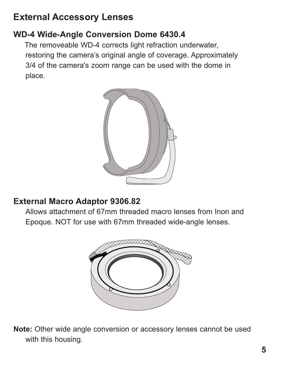## **External Accessory Lenses**

#### **WD-4 Wide-Angle Conversion Dome 6430.4**

The removeable WD-4 corrects light refraction underwater, restoring the camera's original angle of coverage. Approximately 3/4 of the camera's zoom range can be used with the dome in place.



#### **External Macro Adaptor 9306.82**

Allows attachment of 67mm threaded macro lenses from Inon and Epoque. NOT for use with 67mm threaded wide-angle lenses.



**Note:** Other wide angle conversion or accessory lenses cannot be used with this housing.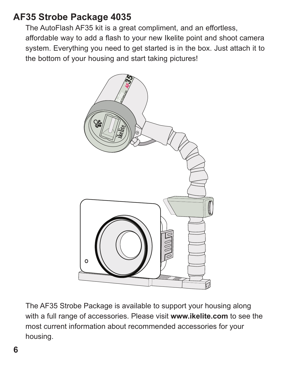### **AF35 Strobe Package 4035**

The AutoFlash AF35 kit is a great compliment, and an effortless, affordable way to add a flash to your new Ikelite point and shoot camera system. Everything you need to get started is in the box. Just attach it to the bottom of your housing and start taking pictures!



The AF35 Strobe Package is available to support your housing along with a full range of accessories. Please visit **www.ikelite.com** to see the most current information about recommended accessories for your housing.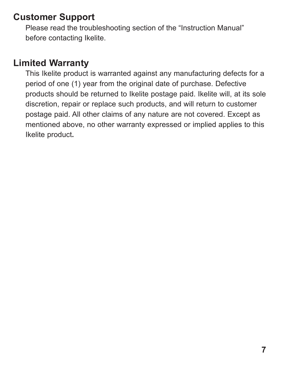## **Customer Support**

Please read the troubleshooting section of the "Instruction Manual" before contacting Ikelite.

## **Limited Warranty**

This Ikelite product is warranted against any manufacturing defects for a period of one (1) year from the original date of purchase. Defective products should be returned to Ikelite postage paid. Ikelite will, at its sole discretion, repair or replace such products, and will return to customer postage paid. All other claims of any nature are not covered. Except as mentioned above, no other warranty expressed or implied applies to this Ikelite product**.**